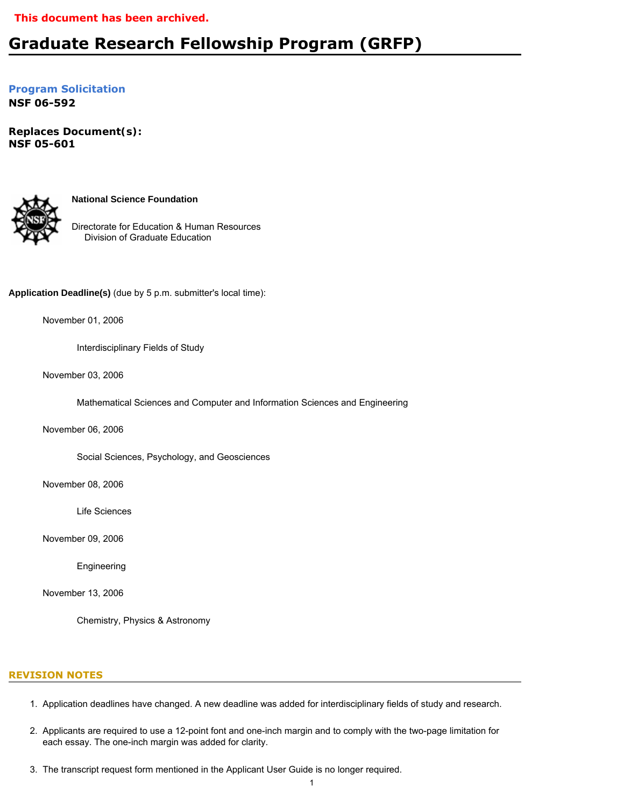## **This document has been archived.**

# **Graduate Research Fellowship Program (GRFP)**

**[Program Solicitation](#page-3-0) NSF 06-592**

*Replaces Document(s):* **NSF 05-601** 



**National Science Foundation**

Directorate for Education & Human Resources Division of Graduate Education

**Application Deadline(s)** (due by 5 p.m. submitter's local time):

November 01, 2006

Interdisciplinary Fields of Study

November 03, 2006

Mathematical Sciences and Computer and Information Sciences and Engineering

November 06, 2006

Social Sciences, Psychology, and Geosciences

November 08, 2006

Life Sciences

November 09, 2006

Engineering

November 13, 2006

Chemistry, Physics & Astronomy

#### **REVISION NOTES**

- 1. Application deadlines have changed. A new deadline was added for interdisciplinary fields of study and research.
- 2. Applicants are required to use a 12-point font and one-inch margin and to comply with the two-page limitation for each essay. The one-inch margin was added for clarity.
- 3. The transcript request form mentioned in the Applicant User Guide is no longer required.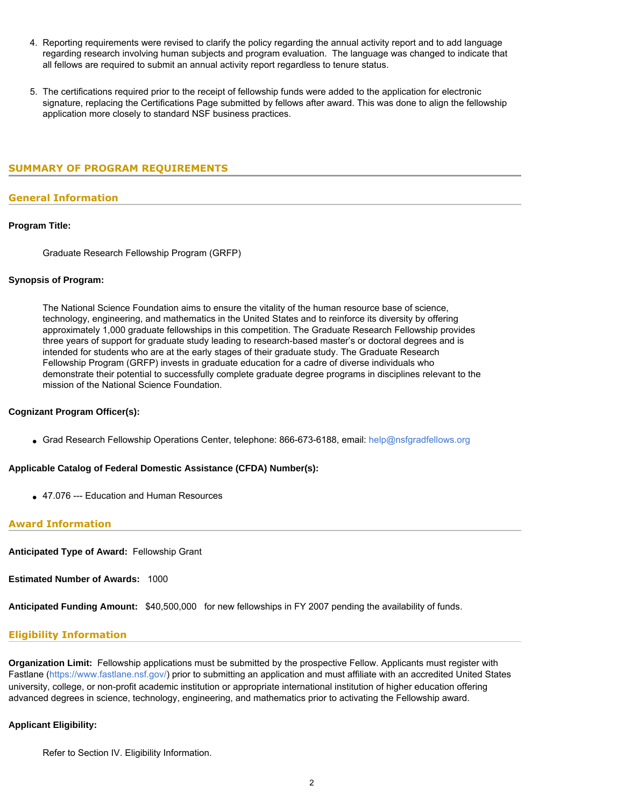- 4. Reporting requirements were revised to clarify the policy regarding the annual activity report and to add language regarding research involving human subjects and program evaluation. The language was changed to indicate that all fellows are required to submit an annual activity report regardless to tenure status.
- 5. The certifications required prior to the receipt of fellowship funds were added to the application for electronic signature, replacing the Certifications Page submitted by fellows after award. This was done to align the fellowship application more closely to standard NSF business practices.

# <span id="page-1-0"></span>**SUMMARY OF PROGRAM REQUIREMENTS**

#### **General Information**

#### **Program Title:**

Graduate Research Fellowship Program (GRFP)

#### **Synopsis of Program:**

The National Science Foundation aims to ensure the vitality of the human resource base of science, technology, engineering, and mathematics in the United States and to reinforce its diversity by offering approximately 1,000 graduate fellowships in this competition. The Graduate Research Fellowship provides three years of support for graduate study leading to research-based master's or doctoral degrees and is intended for students who are at the early stages of their graduate study. The Graduate Research Fellowship Program (GRFP) invests in graduate education for a cadre of diverse individuals who demonstrate their potential to successfully complete graduate degree programs in disciplines relevant to the mission of the National Science Foundation.

#### **Cognizant Program Officer(s):**

• Grad Research Fellowship Operations Center, telephone: 866-673-6188, email: [help@nsfgradfellows.org](mailto:help@nsfgradfellows.org)

## **Applicable Catalog of Federal Domestic Assistance (CFDA) Number(s):**

● 47.076 --- Education and Human Resources

#### **Award Information**

**Anticipated Type of Award:** Fellowship Grant

**Estimated Number of Awards:** 1000

**Anticipated Funding Amount:** \$40,500,000 for new fellowships in FY 2007 pending the availability of funds.

# **Eligibility Information**

**Organization Limit:** Fellowship applications must be submitted by the prospective Fellow. Applicants must register with Fastlane (<https://www.fastlane.nsf.gov/>) prior to submitting an application and must affiliate with an accredited United States university, college, or non-profit academic institution or appropriate international institution of higher education offering advanced degrees in science, technology, engineering, and mathematics prior to activating the Fellowship award.

# **Applicant Eligibility:**

Refer to Section IV. Eligibility Information.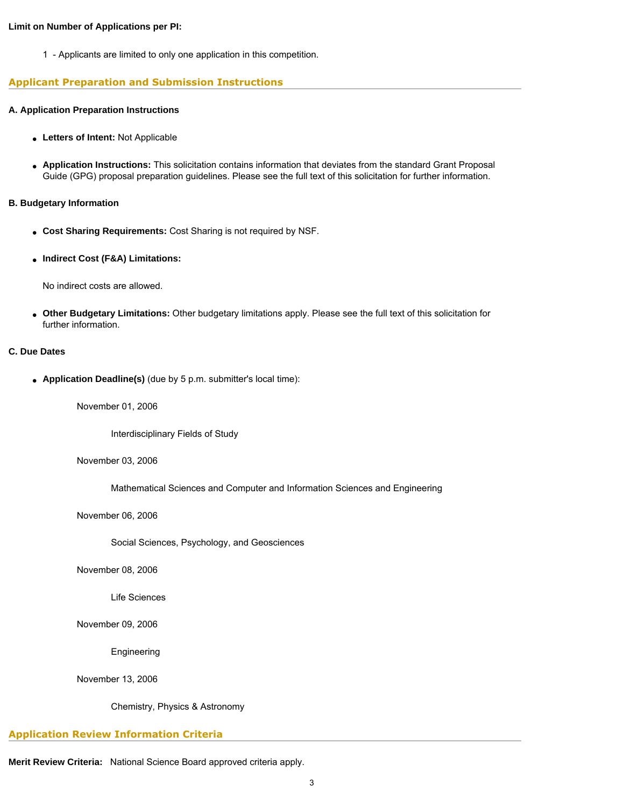#### **Limit on Number of Applications per PI:**

1 - Applicants are limited to only one application in this competition.

# **Applicant Preparation and Submission Instructions**

# **A. Application Preparation Instructions**

- **Letters of Intent:** Not Applicable
- **Application Instructions:** This solicitation contains information that deviates from the standard Grant Proposal Guide (GPG) proposal preparation guidelines. Please see the full text of this solicitation for further information.

# **B. Budgetary Information**

- Cost Sharing Requirements: Cost Sharing is not required by NSF.
- **Indirect Cost (F&A) Limitations:**

No indirect costs are allowed.

● **Other Budgetary Limitations:** Other budgetary limitations apply. Please see the full text of this solicitation for further information.

# **C. Due Dates**

● **Application Deadline(s)** (due by 5 p.m. submitter's local time):

November 01, 2006

Interdisciplinary Fields of Study

November 03, 2006

Mathematical Sciences and Computer and Information Sciences and Engineering

November 06, 2006

Social Sciences, Psychology, and Geosciences

November 08, 2006

Life Sciences

November 09, 2006

Engineering

November 13, 2006

Chemistry, Physics & Astronomy

# **Application Review Information Criteria**

**Merit Review Criteria:** National Science Board approved criteria apply.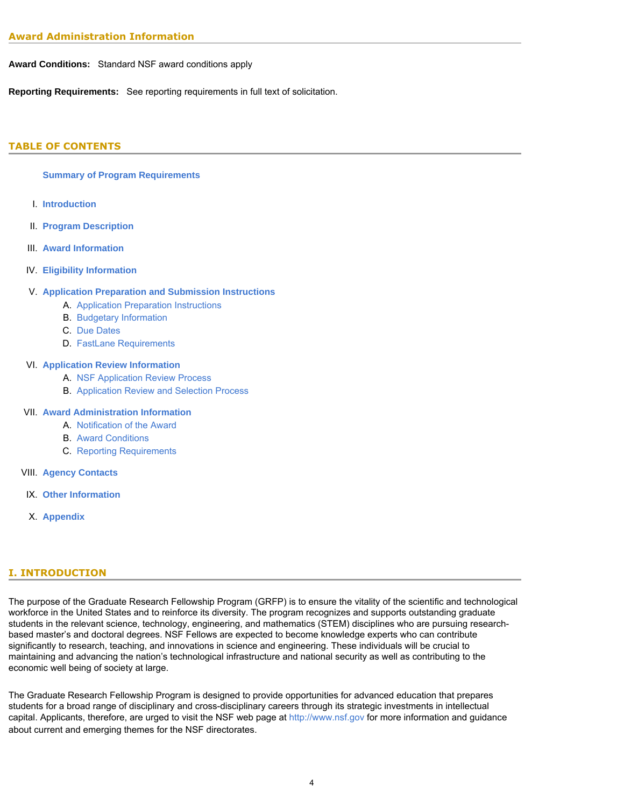**Award Conditions:** Standard NSF award conditions apply

**Reporting Requirements:** See reporting requirements in full text of solicitation.

# <span id="page-3-0"></span>**TABLE OF CONTENTS**

# **[Summary of Program Requirements](#page-1-0)**

- I. **[Introduction](#page-3-1)**
- II. **[Program Description](#page-3-2)**
- III. **[Award Information](#page-4-0)**
- IV. **[Eligibility Information](#page-4-1)**

# V. **[Application Preparation and Submission Instructions](#page-6-0)**

- A. [Application Preparation Instructions](#page-6-0)
- B. [Budgetary Information](#page-7-0)
- C. [Due Dates](#page-8-0)
- D. [FastLane Requirements](#page-8-1)

# VI. **[Application Review Information](#page-8-2)**

- A. [NSF Application Review Process](#page-8-3)
- B. [Application Review and Selection Process](#page-9-0)

# VII. **[Award Administration Information](#page-9-1)**

- A. [Notification of the Award](#page-9-2)
- B. [Award Conditions](#page-9-3)
- C. [Reporting Requirements](#page-10-0)
- VIII. **[Agency Contacts](#page-10-1)**
- IX. **[Other Information](#page-11-0)**
- X. **[Appendix](#page-13-0)**

# <span id="page-3-1"></span>**I. INTRODUCTION**

The purpose of the Graduate Research Fellowship Program (GRFP) is to ensure the vitality of the scientific and technological workforce in the United States and to reinforce its diversity. The program recognizes and supports outstanding graduate students in the relevant science, technology, engineering, and mathematics (STEM) disciplines who are pursuing researchbased master's and doctoral degrees. NSF Fellows are expected to become knowledge experts who can contribute significantly to research, teaching, and innovations in science and engineering. These individuals will be crucial to maintaining and advancing the nation's technological infrastructure and national security as well as contributing to the economic well being of society at large.

<span id="page-3-2"></span>The Graduate Research Fellowship Program is designed to provide opportunities for advanced education that prepares students for a broad range of disciplinary and cross-disciplinary careers through its strategic investments in intellectual capital. Applicants, therefore, are urged to visit the NSF web page at [http://www.nsf.gov](http://www.nsf.gov/) for more information and guidance about current and emerging themes for the NSF directorates.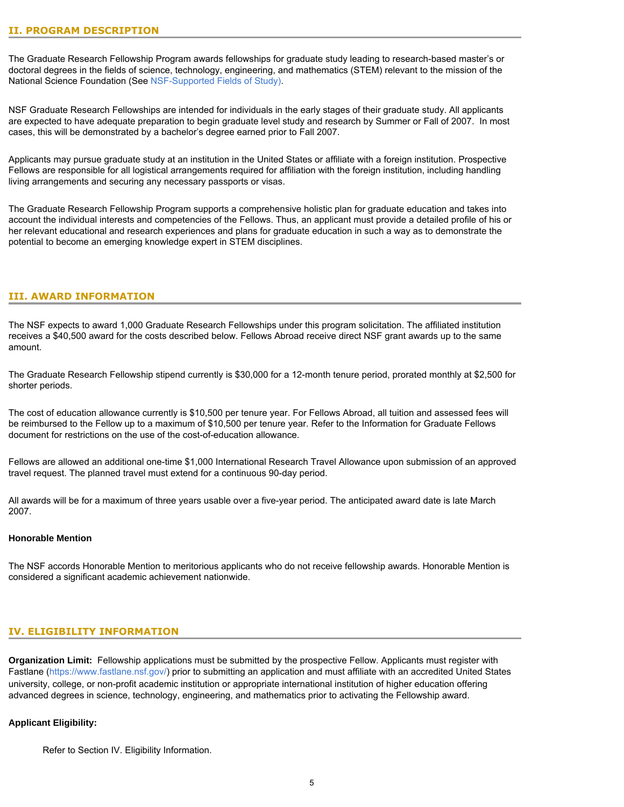The Graduate Research Fellowship Program awards fellowships for graduate study leading to research-based master's or doctoral degrees in the fields of science, technology, engineering, and mathematics (STEM) relevant to the mission of the National Science Foundation (See [NSF-Supported Fields of Study\).](#page-13-1)

NSF Graduate Research Fellowships are intended for individuals in the early stages of their graduate study. All applicants are expected to have adequate preparation to begin graduate level study and research by Summer or Fall of 2007. In most cases, this will be demonstrated by a bachelor's degree earned prior to Fall 2007.

Applicants may pursue graduate study at an institution in the United States or affiliate with a foreign institution. Prospective Fellows are responsible for all logistical arrangements required for affiliation with the foreign institution, including handling living arrangements and securing any necessary passports or visas.

The Graduate Research Fellowship Program supports a comprehensive holistic plan for graduate education and takes into account the individual interests and competencies of the Fellows. Thus, an applicant must provide a detailed profile of his or her relevant educational and research experiences and plans for graduate education in such a way as to demonstrate the potential to become an emerging knowledge expert in STEM disciplines.

# <span id="page-4-0"></span>**III. AWARD INFORMATION**

The NSF expects to award 1,000 Graduate Research Fellowships under this program solicitation. The affiliated institution receives a \$40,500 award for the costs described below. Fellows Abroad receive direct NSF grant awards up to the same amount.

The Graduate Research Fellowship stipend currently is \$30,000 for a 12-month tenure period, prorated monthly at \$2,500 for shorter periods.

The cost of education allowance currently is \$10,500 per tenure year. For Fellows Abroad, all tuition and assessed fees will be reimbursed to the Fellow up to a maximum of \$10,500 per tenure year. Refer to the Information for Graduate Fellows document for restrictions on the use of the cost-of-education allowance.

Fellows are allowed an additional one-time \$1,000 International Research Travel Allowance upon submission of an approved travel request. The planned travel must extend for a continuous 90-day period.

All awards will be for a maximum of three years usable over a five-year period. The anticipated award date is late March 2007.

# **Honorable Mention**

The NSF accords Honorable Mention to meritorious applicants who do not receive fellowship awards. Honorable Mention is considered a significant academic achievement nationwide.

#### <span id="page-4-1"></span>**IV. ELIGIBILITY INFORMATION**

**Organization Limit:** Fellowship applications must be submitted by the prospective Fellow. Applicants must register with Fastlane (<https://www.fastlane.nsf.gov/>) prior to submitting an application and must affiliate with an accredited United States university, college, or non-profit academic institution or appropriate international institution of higher education offering advanced degrees in science, technology, engineering, and mathematics prior to activating the Fellowship award.

#### **Applicant Eligibility:**

Refer to Section IV. Eligibility Information.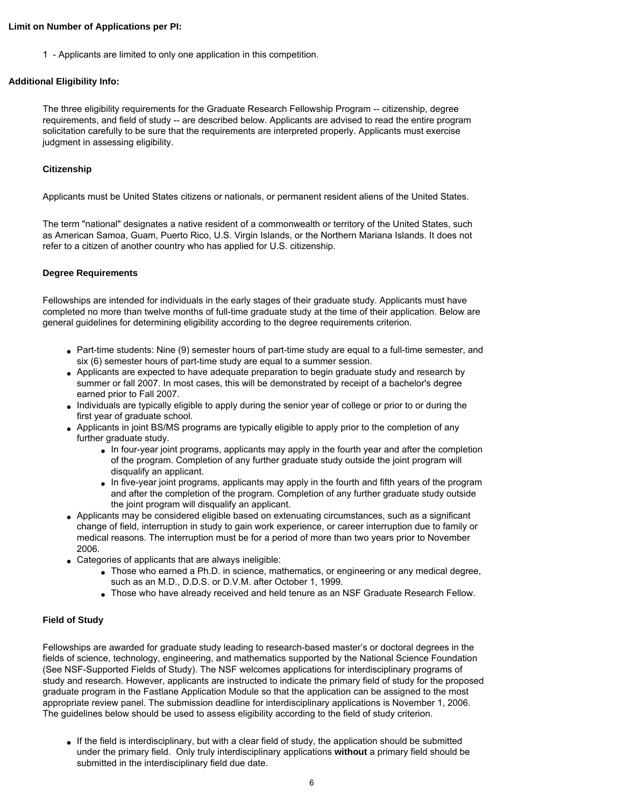#### **Limit on Number of Applications per PI:**

1 - Applicants are limited to only one application in this competition.

#### **Additional Eligibility Info:**

The three eligibility requirements for the Graduate Research Fellowship Program -- citizenship, degree requirements, and field of study -- are described below. Applicants are advised to read the entire program solicitation carefully to be sure that the requirements are interpreted properly. Applicants must exercise judgment in assessing eligibility.

# **Citizenship**

Applicants must be United States citizens or nationals, or permanent resident aliens of the United States.

The term "national" designates a native resident of a commonwealth or territory of the United States, such as American Samoa, Guam, Puerto Rico, U.S. Virgin Islands, or the Northern Mariana Islands. It does not refer to a citizen of another country who has applied for U.S. citizenship.

#### **Degree Requirements**

Fellowships are intended for individuals in the early stages of their graduate study. Applicants must have completed no more than twelve months of full-time graduate study at the time of their application. Below are general guidelines for determining eligibility according to the degree requirements criterion.

- Part-time students: Nine (9) semester hours of part-time study are equal to a full-time semester, and six (6) semester hours of part-time study are equal to a summer session.
- Applicants are expected to have adequate preparation to begin graduate study and research by summer or fall 2007. In most cases, this will be demonstrated by receipt of a bachelor's degree earned prior to Fall 2007.
- Individuals are typically eligible to apply during the senior year of college or prior to or during the first year of graduate school.
- Applicants in joint BS/MS programs are typically eligible to apply prior to the completion of any further graduate study.
	- In four-year joint programs, applicants may apply in the fourth year and after the completion of the program. Completion of any further graduate study outside the joint program will disqualify an applicant.
	- In five-year joint programs, applicants may apply in the fourth and fifth years of the program and after the completion of the program. Completion of any further graduate study outside the joint program will disqualify an applicant.
- Applicants may be considered eligible based on extenuating circumstances, such as a significant change of field, interruption in study to gain work experience, or career interruption due to family or medical reasons. The interruption must be for a period of more than two years prior to November 2006.
- Categories of applicants that are always ineligible:
	- $\bullet$  Those who earned a Ph.D. in science, mathematics, or engineering or any medical degree, such as an M.D., D.D.S. or D.V.M. after October 1, 1999.
	- Those who have already received and held tenure as an NSF Graduate Research Fellow.

# **Field of Study**

Fellowships are awarded for graduate study leading to research-based master's or doctoral degrees in the fields of science, technology, engineering, and mathematics supported by the National Science Foundation (See NSF-Supported Fields of Study). The NSF welcomes applications for interdisciplinary programs of study and research. However, applicants are instructed to indicate the primary field of study for the proposed graduate program in the Fastlane Application Module so that the application can be assigned to the most appropriate review panel. The submission deadline for interdisciplinary applications is November 1, 2006. The guidelines below should be used to assess eligibility according to the field of study criterion.

• If the field is interdisciplinary, but with a clear field of study, the application should be submitted under the primary field. Only truly interdisciplinary applications **without** a primary field should be submitted in the interdisciplinary field due date.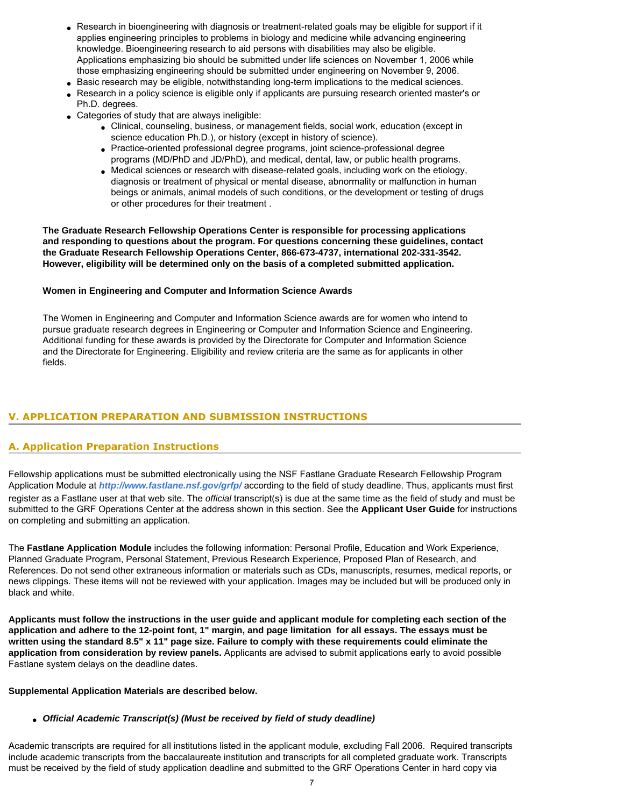- Research in bioengineering with diagnosis or treatment-related goals may be eligible for support if it applies engineering principles to problems in biology and medicine while advancing engineering knowledge. Bioengineering research to aid persons with disabilities may also be eligible. Applications emphasizing bio should be submitted under life sciences on November 1, 2006 while those emphasizing engineering should be submitted under engineering on November 9, 2006.
- Basic research may be eligible, notwithstanding long-term implications to the medical sciences.
- Research in a policy science is eligible only if applicants are pursuing research oriented master's or Ph.D. degrees.
- Categories of study that are always ineligible:
	- Clinical, counseling, business, or management fields, social work, education (except in science education Ph.D.), or history (except in history of science).
	- Practice-oriented professional degree programs, joint science-professional degree programs (MD/PhD and JD/PhD), and medical, dental, law, or public health programs.
	- Medical sciences or research with disease-related goals, including work on the etiology, diagnosis or treatment of physical or mental disease, abnormality or malfunction in human beings or animals, animal models of such conditions, or the development or testing of drugs or other procedures for their treatment .

**The Graduate Research Fellowship Operations Center is responsible for processing applications and responding to questions about the program. For questions concerning these guidelines, contact the Graduate Research Fellowship Operations Center, 866-673-4737, international 202-331-3542. However, eligibility will be determined only on the basis of a completed submitted application.**

#### **Women in Engineering and Computer and Information Science Awards**

The Women in Engineering and Computer and Information Science awards are for women who intend to pursue graduate research degrees in Engineering or Computer and Information Science and Engineering. Additional funding for these awards is provided by the Directorate for Computer and Information Science and the Directorate for Engineering. Eligibility and review criteria are the same as for applicants in other fields.

# <span id="page-6-0"></span>**V. APPLICATION PREPARATION AND SUBMISSION INSTRUCTIONS**

# **A. Application Preparation Instructions**

Fellowship applications must be submitted electronically using the NSF Fastlane Graduate Research Fellowship Program Application Module at *[http://www.fastlane.nsf.gov/grfp/](http://www.fastlane.nsf.gov/)* according to the field of study deadline. Thus, applicants must first register as a Fastlane user at that web site. The *official* transcript(s) is due at the same time as the field of study and must be submitted to the GRF Operations Center at the address shown in this section. See the **Applicant User Guide** for instructions on completing and submitting an application.

The **Fastlane Application Module** includes the following information: Personal Profile, Education and Work Experience, Planned Graduate Program, Personal Statement, Previous Research Experience, Proposed Plan of Research, and References. Do not send other extraneous information or materials such as CDs, manuscripts, resumes, medical reports, or news clippings. These items will not be reviewed with your application. Images may be included but will be produced only in black and white.

**Applicants must follow the instructions in the user guide and applicant module for completing each section of the application and adhere to the 12-point font, 1" margin, and page limitation for all essays. The essays must be written using the standard 8.5" x 11" page size. Failure to comply with these requirements could eliminate the application from consideration by review panels.** Applicants are advised to submit applications early to avoid possible Fastlane system delays on the deadline dates.

#### **Supplemental Application Materials are described below.**

#### ● *Official Academic Transcript(s) (Must be received by field of study deadline)*

Academic transcripts are required for all institutions listed in the applicant module, excluding Fall 2006. Required transcripts include academic transcripts from the baccalaureate institution and transcripts for all completed graduate work. Transcripts must be received by the field of study application deadline and submitted to the GRF Operations Center in hard copy via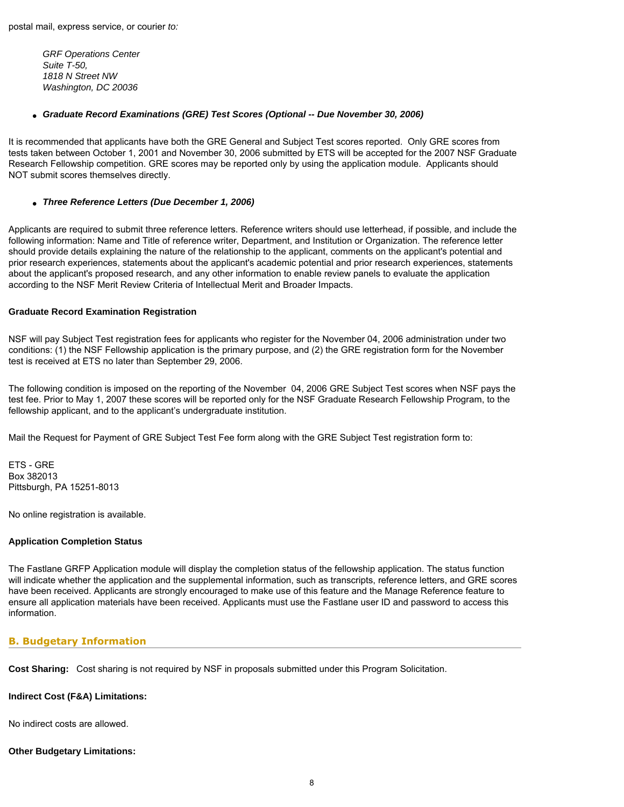*GRF Operations Center Suite T-50, 1818 N Street NW Washington, DC 20036*

#### ● *Graduate Record Examinations (GRE) Test Scores (Optional -- Due November 30, 2006)*

It is recommended that applicants have both the GRE General and Subject Test scores reported. Only GRE scores from tests taken between October 1, 2001 and November 30, 2006 submitted by ETS will be accepted for the 2007 NSF Graduate Research Fellowship competition. GRE scores may be reported only by using the application module. Applicants should NOT submit scores themselves directly.

#### ● *Three Reference Letters (Due December 1, 2006)*

Applicants are required to submit three reference letters. Reference writers should use letterhead, if possible, and include the following information: Name and Title of reference writer, Department, and Institution or Organization. The reference letter should provide details explaining the nature of the relationship to the applicant, comments on the applicant's potential and prior research experiences, statements about the applicant's academic potential and prior research experiences, statements about the applicant's proposed research, and any other information to enable review panels to evaluate the application according to the NSF Merit Review Criteria of Intellectual Merit and Broader Impacts.

#### **Graduate Record Examination Registration**

NSF will pay Subject Test registration fees for applicants who register for the November 04, 2006 administration under two conditions: (1) the NSF Fellowship application is the primary purpose, and (2) the GRE registration form for the November test is received at ETS no later than September 29, 2006.

The following condition is imposed on the reporting of the November 04, 2006 GRE Subject Test scores when NSF pays the test fee. Prior to May 1, 2007 these scores will be reported only for the NSF Graduate Research Fellowship Program, to the fellowship applicant, and to the applicant's undergraduate institution.

Mail the Request for Payment of GRE Subject Test Fee form along with the GRE Subject Test registration form to:

ETS - GRE Box 382013 Pittsburgh, PA 15251-8013

No online registration is available.

#### **Application Completion Status**

The Fastlane GRFP Application module will display the completion status of the fellowship application. The status function will indicate whether the application and the supplemental information, such as transcripts, reference letters, and GRE scores have been received. Applicants are strongly encouraged to make use of this feature and the Manage Reference feature to ensure all application materials have been received. Applicants must use the Fastlane user ID and password to access this information.

# <span id="page-7-0"></span>**B. Budgetary Information**

**Cost Sharing:** Cost sharing is not required by NSF in proposals submitted under this Program Solicitation.

# **Indirect Cost (F&A) Limitations:**

No indirect costs are allowed.

# **Other Budgetary Limitations:**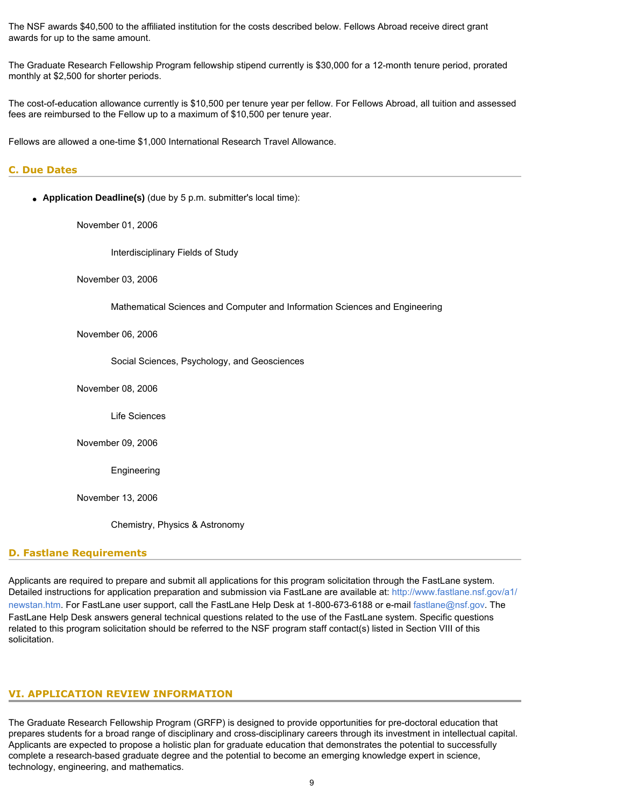The NSF awards \$40,500 to the affiliated institution for the costs described below. Fellows Abroad receive direct grant awards for up to the same amount.

The Graduate Research Fellowship Program fellowship stipend currently is \$30,000 for a 12-month tenure period, prorated monthly at \$2,500 for shorter periods.

The cost-of-education allowance currently is \$10,500 per tenure year per fellow. For Fellows Abroad, all tuition and assessed fees are reimbursed to the Fellow up to a maximum of \$10,500 per tenure year.

Fellows are allowed a one-time \$1,000 International Research Travel Allowance.

# <span id="page-8-0"></span>**C. Due Dates**

• **Application Deadline(s)** (due by 5 p.m. submitter's local time):

November 01, 2006

Interdisciplinary Fields of Study

November 03, 2006

Mathematical Sciences and Computer and Information Sciences and Engineering

November 06, 2006

Social Sciences, Psychology, and Geosciences

November 08, 2006

Life Sciences

November 09, 2006

Engineering

November 13, 2006

Chemistry, Physics & Astronomy

#### <span id="page-8-1"></span>**D. Fastlane Requirements**

Applicants are required to prepare and submit all applications for this program solicitation through the FastLane system. Detailed instructions for application preparation and submission via FastLane are available at: [http://www.fastlane.nsf.gov/a1/](http://www.fastlane.nsf.gov/a1/newstan.htm) [newstan.htm.](http://www.fastlane.nsf.gov/a1/newstan.htm) For FastLane user support, call the FastLane Help Desk at 1-800-673-6188 or e-mail [fastlane@nsf.gov.](mailto:fastlane@nsf.gov) The FastLane Help Desk answers general technical questions related to the use of the FastLane system. Specific questions related to this program solicitation should be referred to the NSF program staff contact(s) listed in Section VIII of this solicitation.

#### <span id="page-8-3"></span><span id="page-8-2"></span>**VI. APPLICATION REVIEW INFORMATION**

The Graduate Research Fellowship Program (GRFP) is designed to provide opportunities for pre-doctoral education that prepares students for a broad range of disciplinary and cross-disciplinary careers through its investment in intellectual capital. Applicants are expected to propose a holistic plan for graduate education that demonstrates the potential to successfully complete a research-based graduate degree and the potential to become an emerging knowledge expert in science, technology, engineering, and mathematics.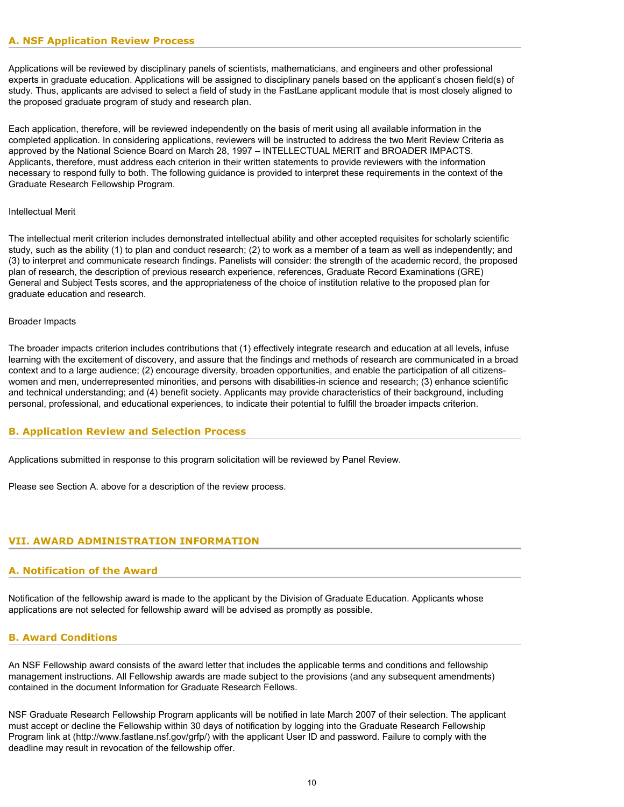Applications will be reviewed by disciplinary panels of scientists, mathematicians, and engineers and other professional experts in graduate education. Applications will be assigned to disciplinary panels based on the applicant's chosen field(s) of study. Thus, applicants are advised to select a field of study in the FastLane applicant module that is most closely aligned to the proposed graduate program of study and research plan.

Each application, therefore, will be reviewed independently on the basis of merit using all available information in the completed application. In considering applications, reviewers will be instructed to address the two Merit Review Criteria as approved by the National Science Board on March 28, 1997 – INTELLECTUAL MERIT and BROADER IMPACTS. Applicants, therefore, must address each criterion in their written statements to provide reviewers with the information necessary to respond fully to both. The following guidance is provided to interpret these requirements in the context of the Graduate Research Fellowship Program.

#### Intellectual Merit

The intellectual merit criterion includes demonstrated intellectual ability and other accepted requisites for scholarly scientific study, such as the ability (1) to plan and conduct research; (2) to work as a member of a team as well as independently; and (3) to interpret and communicate research findings. Panelists will consider: the strength of the academic record, the proposed plan of research, the description of previous research experience, references, Graduate Record Examinations (GRE) General and Subject Tests scores, and the appropriateness of the choice of institution relative to the proposed plan for graduate education and research.

#### Broader Impacts

The broader impacts criterion includes contributions that (1) effectively integrate research and education at all levels, infuse learning with the excitement of discovery, and assure that the findings and methods of research are communicated in a broad context and to a large audience; (2) encourage diversity, broaden opportunities, and enable the participation of all citizenswomen and men, underrepresented minorities, and persons with disabilities-in science and research; (3) enhance scientific and technical understanding; and (4) benefit society. Applicants may provide characteristics of their background, including personal, professional, and educational experiences, to indicate their potential to fulfill the broader impacts criterion.

# <span id="page-9-0"></span>**B. Application Review and Selection Process**

Applications submitted in response to this program solicitation will be reviewed by Panel Review.

Please see Section A. above for a description of the review process.

# <span id="page-9-2"></span><span id="page-9-1"></span>**VII. AWARD ADMINISTRATION INFORMATION**

#### **A. Notification of the Award**

Notification of the fellowship award is made to the applicant by the Division of Graduate Education. Applicants whose applications are not selected for fellowship award will be advised as promptly as possible.

# <span id="page-9-3"></span>**B. Award Conditions**

An NSF Fellowship award consists of the award letter that includes the applicable terms and conditions and fellowship management instructions. All Fellowship awards are made subject to the provisions (and any subsequent amendments) contained in the document Information for Graduate Research Fellows.

NSF Graduate Research Fellowship Program applicants will be notified in late March 2007 of their selection. The applicant must accept or decline the Fellowship within 30 days of notification by logging into the Graduate Research Fellowship Program link at ([http://www.fastlane.nsf.gov/grfp/\) w](http://www.fastlane.nsf.gov/grfp)ith the applicant User ID and password. Failure to comply with the deadline may result in revocation of the fellowship offer.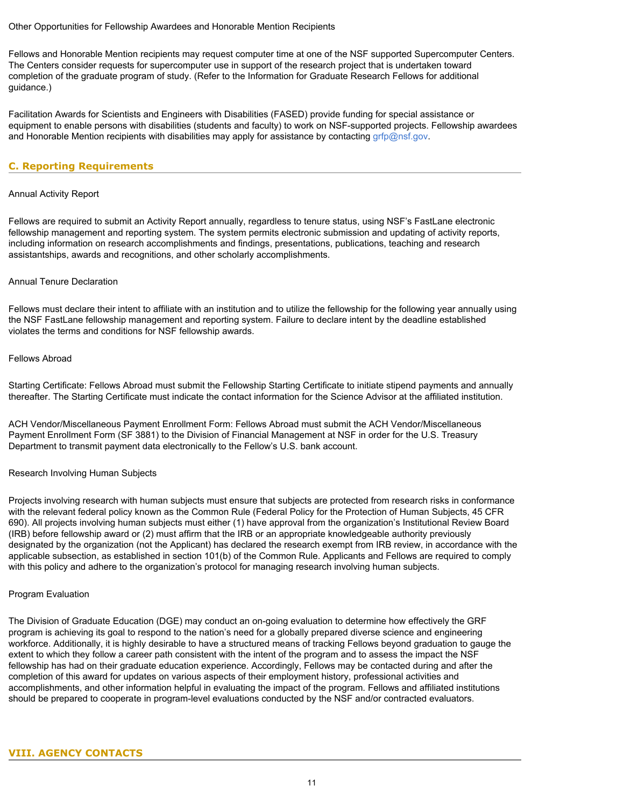#### Other Opportunities for Fellowship Awardees and Honorable Mention Recipients

Fellows and Honorable Mention recipients may request computer time at one of the NSF supported Supercomputer Centers. The Centers consider requests for supercomputer use in support of the research project that is undertaken toward completion of the graduate program of study. (Refer to the Information for Graduate Research Fellows for additional guidance.)

Facilitation Awards for Scientists and Engineers with Disabilities (FASED) provide funding for special assistance or equipment to enable persons with disabilities (students and faculty) to work on NSF-supported projects. Fellowship awardees and Honorable Mention recipients with disabilities may apply for assistance by contacting [grfp@nsf.gov.](mailto:grfp@nsf.gov)

# <span id="page-10-0"></span>**C. Reporting Requirements**

#### Annual Activity Report

Fellows are required to submit an Activity Report annually, regardless to tenure status, using NSF's FastLane electronic fellowship management and reporting system. The system permits electronic submission and updating of activity reports, including information on research accomplishments and findings, presentations, publications, teaching and research assistantships, awards and recognitions, and other scholarly accomplishments.

#### Annual Tenure Declaration

Fellows must declare their intent to affiliate with an institution and to utilize the fellowship for the following year annually using the NSF FastLane fellowship management and reporting system. Failure to declare intent by the deadline established violates the terms and conditions for NSF fellowship awards.

## Fellows Abroad

Starting Certificate: Fellows Abroad must submit the Fellowship Starting Certificate to initiate stipend payments and annually thereafter. The Starting Certificate must indicate the contact information for the Science Advisor at the affiliated institution.

ACH Vendor/Miscellaneous Payment Enrollment Form: Fellows Abroad must submit the ACH Vendor/Miscellaneous Payment Enrollment Form (SF 3881) to the Division of Financial Management at NSF in order for the U.S. Treasury Department to transmit payment data electronically to the Fellow's U.S. bank account.

#### Research Involving Human Subjects

Projects involving research with human subjects must ensure that subjects are protected from research risks in conformance with the relevant federal policy known as the Common Rule (Federal Policy for the Protection of Human Subjects, 45 CFR 690). All projects involving human subjects must either (1) have approval from the organization's Institutional Review Board (IRB) before fellowship award or (2) must affirm that the IRB or an appropriate knowledgeable authority previously designated by the organization (not the Applicant) has declared the research exempt from IRB review, in accordance with the applicable subsection, as established in section 101(b) of the Common Rule. Applicants and Fellows are required to comply with this policy and adhere to the organization's protocol for managing research involving human subjects.

#### Program Evaluation

<span id="page-10-1"></span>The Division of Graduate Education (DGE) may conduct an on-going evaluation to determine how effectively the GRF program is achieving its goal to respond to the nation's need for a globally prepared diverse science and engineering workforce. Additionally, it is highly desirable to have a structured means of tracking Fellows beyond graduation to gauge the extent to which they follow a career path consistent with the intent of the program and to assess the impact the NSF fellowship has had on their graduate education experience. Accordingly, Fellows may be contacted during and after the completion of this award for updates on various aspects of their employment history, professional activities and accomplishments, and other information helpful in evaluating the impact of the program. Fellows and affiliated institutions should be prepared to cooperate in program-level evaluations conducted by the NSF and/or contracted evaluators.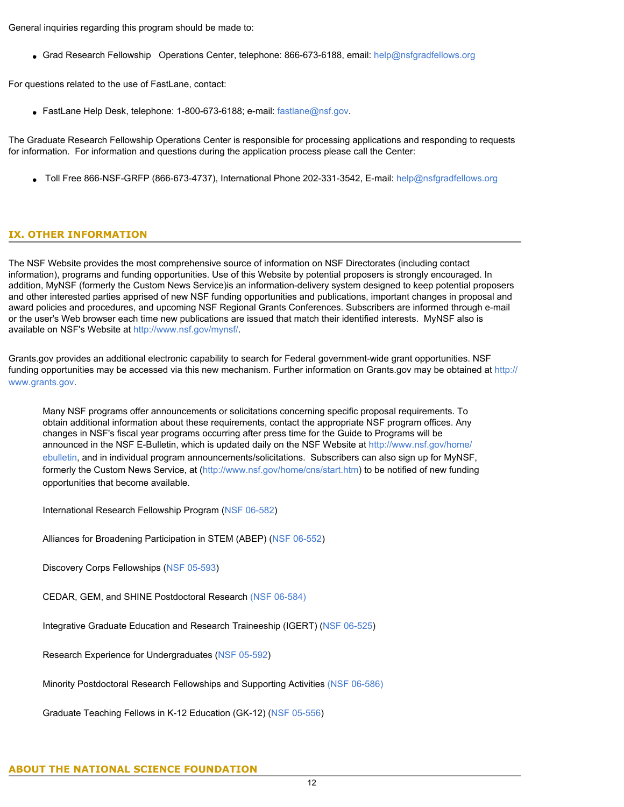General inquiries regarding this program should be made to:

• Grad Research Fellowship Operations Center, telephone: 866-673-6188, email: [help@nsfgradfellows.org](mailto:help@nsfgradfellows.org)

For questions related to the use of FastLane, contact:

● FastLane Help Desk, telephone: 1-800-673-6188; e-mail: [fastlane@nsf.gov](mailto:fastlane@nsf.gov).

The Graduate Research Fellowship Operations Center is responsible for processing applications and responding to requests for information. For information and questions during the application process please call the Center:

● Toll Free 866-NSF-GRFP (866-673-4737), International Phone 202-331-3542, E-mail: [help@nsfgradfellows.org](mailto:help@nsfgradfellows.org)

# <span id="page-11-0"></span>**IX. OTHER INFORMATION**

The NSF Website provides the most comprehensive source of information on NSF Directorates (including contact information), programs and funding opportunities. Use of this Website by potential proposers is strongly encouraged. In addition, MyNSF (formerly the Custom News Service)is an information-delivery system designed to keep potential proposers and other interested parties apprised of new NSF funding opportunities and publications, important changes in proposal and award policies and procedures, and upcoming NSF Regional Grants Conferences. Subscribers are informed through e-mail or the user's Web browser each time new publications are issued that match their identified interests. MyNSF also is available on NSF's Website at [http://www.nsf.gov/mynsf/.](http://www.nsf.gov/mynsf/)

Grants.gov provides an additional electronic capability to search for Federal government-wide grant opportunities. NSF funding opportunities may be accessed via this new mechanism. Further information on Grants.gov may be obtained at [http://](http://www.grants.gov/) [www.grants.gov.](http://www.grants.gov/)

Many NSF programs offer announcements or solicitations concerning specific proposal requirements. To obtain additional information about these requirements, contact the appropriate NSF program offices. Any changes in NSF's fiscal year programs occurring after press time for the Guide to Programs will be announced in the NSF E-Bulletin, which is updated daily on the NSF Website at [http://www.nsf.gov/home/](http://www.nsf.gov/home/ebulletin) [ebulletin,](http://www.nsf.gov/home/ebulletin) and in individual program announcements/solicitations. Subscribers can also sign up for MyNSF, formerly the Custom News Service, at ([http://www.nsf.gov/home/cns/start.htm\)](http://www.nsf.gov/home/cns/start.htm) to be notified of new funding opportunities that become available.

International Research Fellowship Program ([NSF 06-582](http://www.nsf.gov/publications/pub_summ.jsp?ods_key=nsf06582&org=NSF))

Alliances for Broadening Participation in STEM (ABEP) [\(NSF 06-552\)](http://www.nsf.gov/publications/pub_summ.jsp?ods_key=nsf06552&org+NSF)

Discovery Corps Fellowships [\(NSF 05-593\)](http://www.nsf.gov/publications/pub_summ.jsp?ods_key=nsf05593)

CEDAR, GEM, and SHINE Postdoctoral Research [\(NSF 06-584\)](http://www.nsf.gov/publications/pub_summ.jsp?ods_key=nsf06584)

Integrative Graduate Education and Research Traineeship (IGERT) ([NSF 06-525\)](http://www.nsf.gov/publications/pub_summ.jsp?ods_key=nsf06525&org=NSF)

Research Experience for Undergraduates [\(NSF 05-592\)](http://www.nsf.gov/funding/pgm_summ.jsp?pims_id=5517&from=fund)

Minority Postdoctoral Research Fellowships and Supporting Activities [\(NSF 06-586\)](http://www.nsf.gov/publications/pub_summ.jsp?ods_key=nsf06586)

Graduate Teaching Fellows in K-12 Education (GK-12) [\(NSF 05-556\)](http://www.nsf.gov/publications/pub_summ.jsp?ods_key=nsf06556)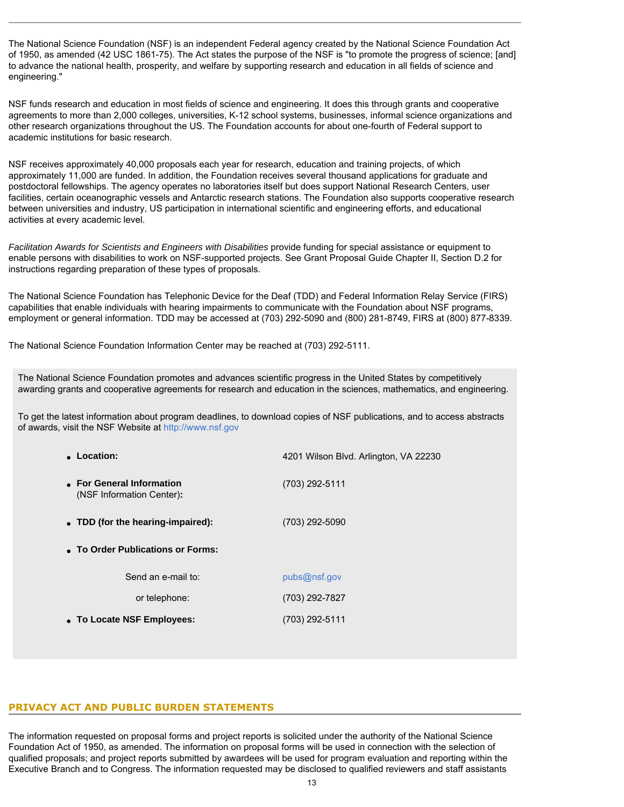The National Science Foundation (NSF) is an independent Federal agency created by the National Science Foundation Act of 1950, as amended (42 USC 1861-75). The Act states the purpose of the NSF is "to promote the progress of science; [and] to advance the national health, prosperity, and welfare by supporting research and education in all fields of science and engineering."

NSF funds research and education in most fields of science and engineering. It does this through grants and cooperative agreements to more than 2,000 colleges, universities, K-12 school systems, businesses, informal science organizations and other research organizations throughout the US. The Foundation accounts for about one-fourth of Federal support to academic institutions for basic research.

NSF receives approximately 40,000 proposals each year for research, education and training projects, of which approximately 11,000 are funded. In addition, the Foundation receives several thousand applications for graduate and postdoctoral fellowships. The agency operates no laboratories itself but does support National Research Centers, user facilities, certain oceanographic vessels and Antarctic research stations. The Foundation also supports cooperative research between universities and industry, US participation in international scientific and engineering efforts, and educational activities at every academic level.

*Facilitation Awards for Scientists and Engineers with Disabilities* provide funding for special assistance or equipment to enable persons with disabilities to work on NSF-supported projects. See Grant Proposal Guide Chapter II, Section D.2 for instructions regarding preparation of these types of proposals.

The National Science Foundation has Telephonic Device for the Deaf (TDD) and Federal Information Relay Service (FIRS) capabilities that enable individuals with hearing impairments to communicate with the Foundation about NSF programs, employment or general information. TDD may be accessed at (703) 292-5090 and (800) 281-8749, FIRS at (800) 877-8339.

The National Science Foundation Information Center may be reached at (703) 292-5111.

The National Science Foundation promotes and advances scientific progress in the United States by competitively awarding grants and cooperative agreements for research and education in the sciences, mathematics, and engineering.

To get the latest information about program deadlines, to download copies of NSF publications, and to access abstracts of awards, visit the NSF Website at [http://www.nsf.gov](http://www.nsf.gov/)

| • Location:                                            | 4201 Wilson Blvd. Arlington, VA 22230 |  |  |  |  |  |  |  |  |
|--------------------------------------------------------|---------------------------------------|--|--|--|--|--|--|--|--|
| • For General Information<br>(NSF Information Center): | (703) 292-5111                        |  |  |  |  |  |  |  |  |
| • TDD (for the hearing-impaired):                      | (703) 292-5090                        |  |  |  |  |  |  |  |  |
| • To Order Publications or Forms:                      |                                       |  |  |  |  |  |  |  |  |
| Send an e-mail to:                                     | pubs@nsf.gov                          |  |  |  |  |  |  |  |  |
| or telephone:                                          | (703) 292-7827                        |  |  |  |  |  |  |  |  |
| • To Locate NSF Employees:                             | (703) 292-5111                        |  |  |  |  |  |  |  |  |
|                                                        |                                       |  |  |  |  |  |  |  |  |

#### **PRIVACY ACT AND PUBLIC BURDEN STATEMENTS**

The information requested on proposal forms and project reports is solicited under the authority of the National Science Foundation Act of 1950, as amended. The information on proposal forms will be used in connection with the selection of qualified proposals; and project reports submitted by awardees will be used for program evaluation and reporting within the Executive Branch and to Congress. The information requested may be disclosed to qualified reviewers and staff assistants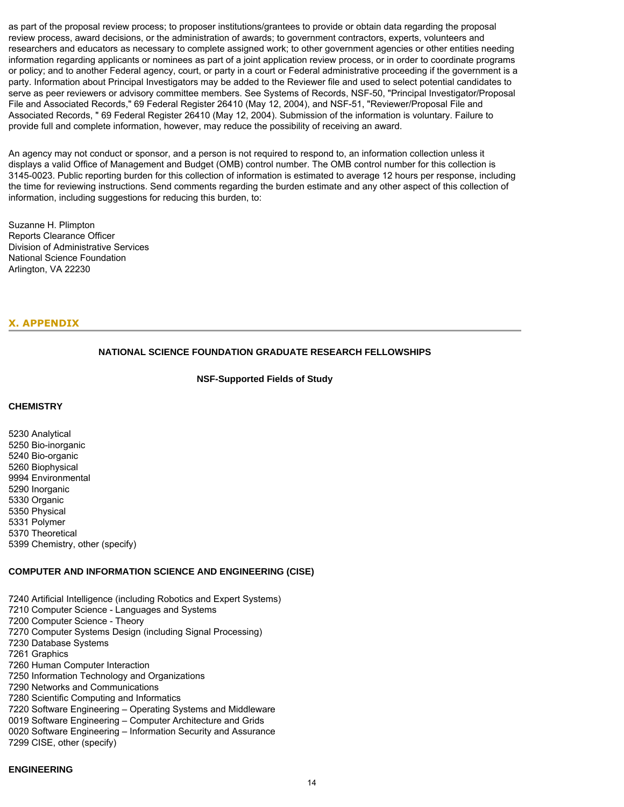as part of the proposal review process; to proposer institutions/grantees to provide or obtain data regarding the proposal review process, award decisions, or the administration of awards; to government contractors, experts, volunteers and researchers and educators as necessary to complete assigned work; to other government agencies or other entities needing information regarding applicants or nominees as part of a joint application review process, or in order to coordinate programs or policy; and to another Federal agency, court, or party in a court or Federal administrative proceeding if the government is a party. Information about Principal Investigators may be added to the Reviewer file and used to select potential candidates to serve as peer reviewers or advisory committee members. See Systems of Records, NSF-50, "Principal Investigator/Proposal File and Associated Records," 69 Federal Register 26410 (May 12, 2004), and NSF-51, "Reviewer/Proposal File and Associated Records, " 69 Federal Register 26410 (May 12, 2004). Submission of the information is voluntary. Failure to provide full and complete information, however, may reduce the possibility of receiving an award.

An agency may not conduct or sponsor, and a person is not required to respond to, an information collection unless it displays a valid Office of Management and Budget (OMB) control number. The OMB control number for this collection is 3145-0023. Public reporting burden for this collection of information is estimated to average 12 hours per response, including the time for reviewing instructions. Send comments regarding the burden estimate and any other aspect of this collection of information, including suggestions for reducing this burden, to:

Suzanne H. Plimpton Reports Clearance Officer Division of Administrative Services National Science Foundation Arlington, VA 22230

# <span id="page-13-0"></span>**X. APPENDIX**

# **NATIONAL SCIENCE FOUNDATION GRADUATE RESEARCH FELLOWSHIPS**

**NSF-Supported Fields of Study**

#### <span id="page-13-1"></span>**CHEMISTRY**

5230 Analytical 5250 Bio-inorganic 5240 Bio-organic 5260 Biophysical 9994 Environmental 5290 Inorganic 5330 Organic 5350 Physical 5331 Polymer 5370 Theoretical 5399 Chemistry, other (specify)

#### **COMPUTER AND INFORMATION SCIENCE AND ENGINEERING (CISE)**

7240 Artificial Intelligence (including Robotics and Expert Systems) 7210 Computer Science - Languages and Systems 7200 Computer Science - Theory 7270 Computer Systems Design (including Signal Processing) 7230 Database Systems 7261 Graphics 7260 Human Computer Interaction 7250 Information Technology and Organizations 7290 Networks and Communications 7280 Scientific Computing and Informatics 7220 Software Engineering – Operating Systems and Middleware 0019 Software Engineering – Computer Architecture and Grids 0020 Software Engineering – Information Security and Assurance 7299 CISE, other (specify)

## **ENGINEERING**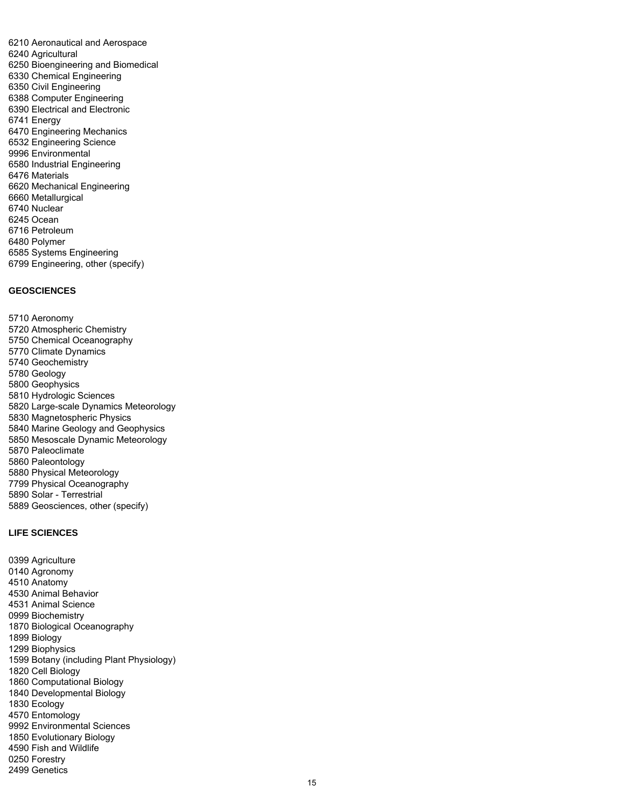6210 Aeronautical and Aerospace 6240 Agricultural 6250 Bioengineering and Biomedical 6330 Chemical Engineering 6350 Civil Engineering 6388 Computer Engineering 6390 Electrical and Electronic 6741 Energy 6470 Engineering Mechanics 6532 Engineering Science 9996 Environmental 6580 Industrial Engineering 6476 Materials 6620 Mechanical Engineering 6660 Metallurgical 6740 Nuclear 6245 Ocean 6716 Petroleum 6480 Polymer 6585 Systems Engineering 6799 Engineering, other (specify)

#### **GEOSCIENCES**

5710 Aeronomy 5720 Atmospheric Chemistry 5750 Chemical Oceanography 5770 Climate Dynamics 5740 Geochemistry 5780 Geology 5800 Geophysics 5810 Hydrologic Sciences 5820 Large-scale Dynamics Meteorology 5830 Magnetospheric Physics 5840 Marine Geology and Geophysics 5850 Mesoscale Dynamic Meteorology 5870 Paleoclimate 5860 Paleontology 5880 Physical Meteorology 7799 Physical Oceanography 5890 Solar - Terrestrial 5889 Geosciences, other (specify)

# **LIFE SCIENCES**

0399 Agriculture 0140 Agronomy 4510 Anatomy 4530 Animal Behavior 4531 Animal Science 0999 Biochemistry 1870 Biological Oceanography 1899 Biology 1299 Biophysics 1599 Botany (including Plant Physiology) 1820 Cell Biology 1860 Computational Biology 1840 Developmental Biology 1830 Ecology 4570 Entomology 9992 Environmental Sciences 1850 Evolutionary Biology 4590 Fish and Wildlife 0250 Forestry 2499 Genetics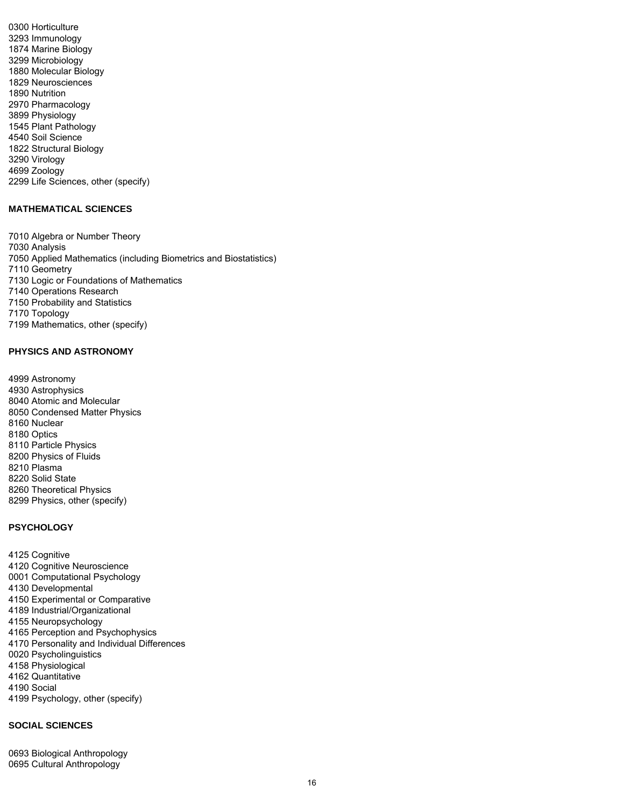0300 Horticulture 3293 Immunology 1874 Marine Biology 3299 Microbiology 1880 Molecular Biology 1829 Neurosciences 1890 Nutrition 2970 Pharmacology 3899 Physiology 1545 Plant Pathology 4540 Soil Science 1822 Structural Biology 3290 Virology 4699 Zoology 2299 Life Sciences, other (specify)

# **MATHEMATICAL SCIENCES**

7010 Algebra or Number Theory 7030 Analysis 7050 Applied Mathematics (including Biometrics and Biostatistics) 7110 Geometry 7130 Logic or Foundations of Mathematics 7140 Operations Research 7150 Probability and Statistics 7170 Topology 7199 Mathematics, other (specify)

# **PHYSICS AND ASTRONOMY**

4999 Astronomy 4930 Astrophysics 8040 Atomic and Molecular 8050 Condensed Matter Physics 8160 Nuclear 8180 Optics 8110 Particle Physics 8200 Physics of Fluids 8210 Plasma 8220 Solid State 8260 Theoretical Physics 8299 Physics, other (specify)

# **PSYCHOLOGY**

4125 Cognitive 4120 Cognitive Neuroscience 0001 Computational Psychology 4130 Developmental 4150 Experimental or Comparative 4189 Industrial/Organizational 4155 Neuropsychology 4165 Perception and Psychophysics 4170 Personality and Individual Differences 0020 Psycholinguistics 4158 Physiological 4162 Quantitative 4190 Social 4199 Psychology, other (specify)

# **SOCIAL SCIENCES**

0693 Biological Anthropology 0695 Cultural Anthropology